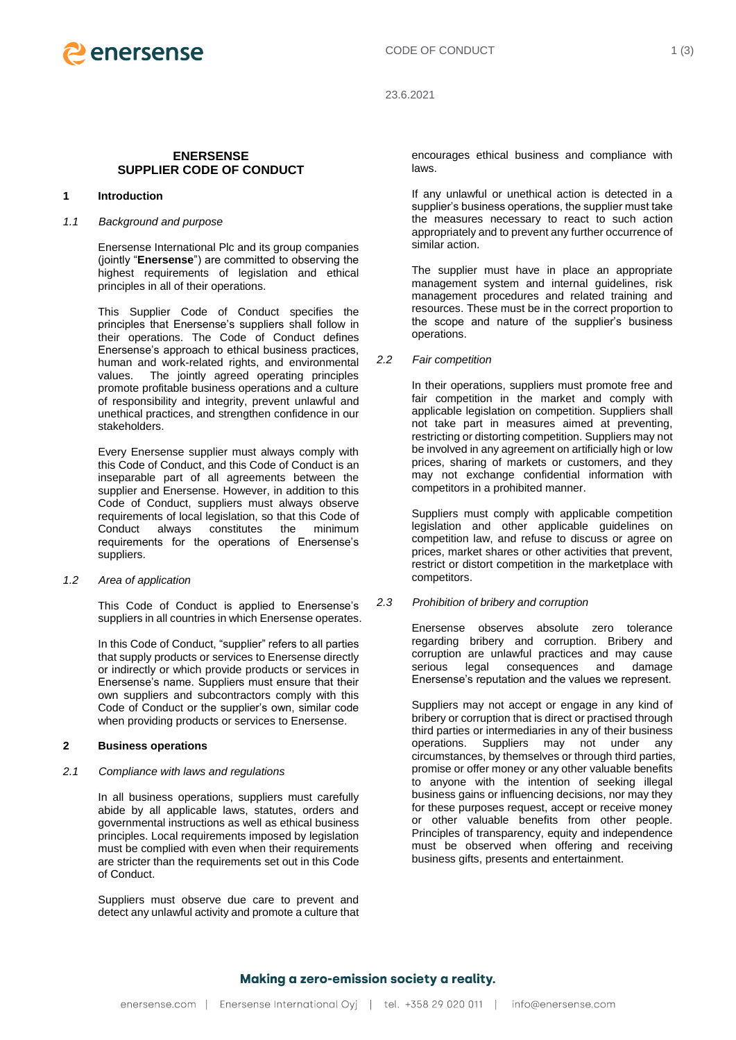

23.6.2021

## **ENERSENSE SUPPLIER CODE OF CONDUCT**

## **1 Introduction**

# *1.1 Background and purpose*

Enersense International Plc and its group companies (jointly "**Enersense**") are committed to observing the highest requirements of legislation and ethical principles in all of their operations.

This Supplier Code of Conduct specifies the principles that Enersense's suppliers shall follow in their operations. The Code of Conduct defines Enersense's approach to ethical business practices, human and work-related rights, and environmental values. The jointly agreed operating principles promote profitable business operations and a culture of responsibility and integrity, prevent unlawful and unethical practices, and strengthen confidence in our stakeholders.

Every Enersense supplier must always comply with this Code of Conduct, and this Code of Conduct is an inseparable part of all agreements between the supplier and Enersense. However, in addition to this Code of Conduct, suppliers must always observe requirements of local legislation, so that this Code of Conduct always constitutes the minimum requirements for the operations of Enersense's suppliers.

*1.2 Area of application*

This Code of Conduct is applied to Enersense's suppliers in all countries in which Enersense operates.

In this Code of Conduct, "supplier" refers to all parties that supply products or services to Enersense directly or indirectly or which provide products or services in Enersense's name. Suppliers must ensure that their own suppliers and subcontractors comply with this Code of Conduct or the supplier's own, similar code when providing products or services to Enersense.

## **2 Business operations**

*2.1 Compliance with laws and regulations*

In all business operations, suppliers must carefully abide by all applicable laws, statutes, orders and governmental instructions as well as ethical business principles. Local requirements imposed by legislation must be complied with even when their requirements are stricter than the requirements set out in this Code of Conduct.

Suppliers must observe due care to prevent and detect any unlawful activity and promote a culture that encourages ethical business and compliance with laws.

If any unlawful or unethical action is detected in a supplier's business operations, the supplier must take the measures necessary to react to such action appropriately and to prevent any further occurrence of similar action.

The supplier must have in place an appropriate management system and internal guidelines, risk management procedures and related training and resources. These must be in the correct proportion to the scope and nature of the supplier's business operations.

*2.2 Fair competition*

In their operations, suppliers must promote free and fair competition in the market and comply with applicable legislation on competition. Suppliers shall not take part in measures aimed at preventing, restricting or distorting competition. Suppliers may not be involved in any agreement on artificially high or low prices, sharing of markets or customers, and they may not exchange confidential information with competitors in a prohibited manner.

Suppliers must comply with applicable competition legislation and other applicable guidelines on competition law, and refuse to discuss or agree on prices, market shares or other activities that prevent, restrict or distort competition in the marketplace with competitors.

*2.3 Prohibition of bribery and corruption*

Enersense observes absolute zero tolerance regarding bribery and corruption. Bribery and corruption are unlawful practices and may cause serious legal consequences and damage Enersense's reputation and the values we represent.

Suppliers may not accept or engage in any kind of bribery or corruption that is direct or practised through third parties or intermediaries in any of their business operations. Suppliers may not under any circumstances, by themselves or through third parties, promise or offer money or any other valuable benefits to anyone with the intention of seeking illegal business gains or influencing decisions, nor may they for these purposes request, accept or receive money or other valuable benefits from other people. Principles of transparency, equity and independence must be observed when offering and receiving business gifts, presents and entertainment.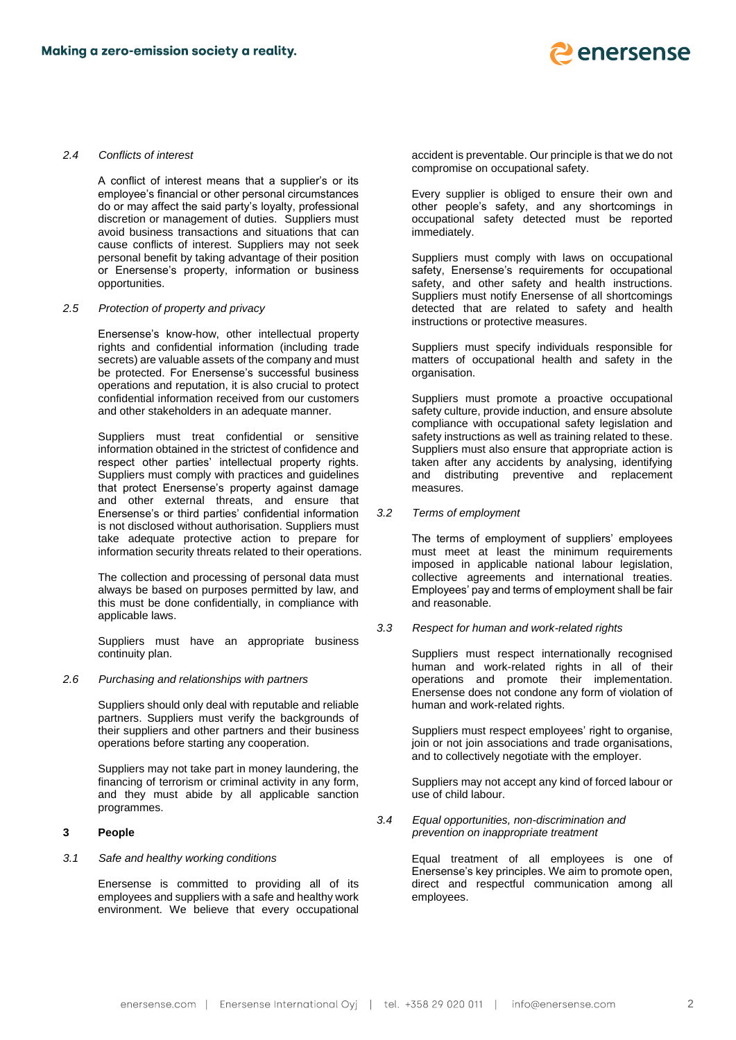

### *2.4 Conflicts of interest*

A conflict of interest means that a supplier's or its employee's financial or other personal circumstances do or may affect the said party's loyalty, professional discretion or management of duties. Suppliers must avoid business transactions and situations that can cause conflicts of interest. Suppliers may not seek personal benefit by taking advantage of their position or Enersense's property, information or business opportunities.

#### *2.5 Protection of property and privacy*

Enersense's know-how, other intellectual property rights and confidential information (including trade secrets) are valuable assets of the company and must be protected. For Enersense's successful business operations and reputation, it is also crucial to protect confidential information received from our customers and other stakeholders in an adequate manner.

Suppliers must treat confidential or sensitive information obtained in the strictest of confidence and respect other parties' intellectual property rights. Suppliers must comply with practices and guidelines that protect Enersense's property against damage and other external threats, and ensure that Enersense's or third parties' confidential information is not disclosed without authorisation. Suppliers must take adequate protective action to prepare for information security threats related to their operations.

The collection and processing of personal data must always be based on purposes permitted by law, and this must be done confidentially, in compliance with applicable laws.

Suppliers must have an appropriate business continuity plan.

#### *2.6 Purchasing and relationships with partners*

Suppliers should only deal with reputable and reliable partners. Suppliers must verify the backgrounds of their suppliers and other partners and their business operations before starting any cooperation.

Suppliers may not take part in money laundering, the financing of terrorism or criminal activity in any form, and they must abide by all applicable sanction programmes.

## **3 People**

## *3.1 Safe and healthy working conditions*

Enersense is committed to providing all of its employees and suppliers with a safe and healthy work environment. We believe that every occupational accident is preventable. Our principle is that we do not compromise on occupational safety.

Every supplier is obliged to ensure their own and other people's safety, and any shortcomings in occupational safety detected must be reported immediately.

Suppliers must comply with laws on occupational safety, Enersense's requirements for occupational safety, and other safety and health instructions. Suppliers must notify Enersense of all shortcomings detected that are related to safety and health instructions or protective measures.

Suppliers must specify individuals responsible for matters of occupational health and safety in the organisation.

Suppliers must promote a proactive occupational safety culture, provide induction, and ensure absolute compliance with occupational safety legislation and safety instructions as well as training related to these. Suppliers must also ensure that appropriate action is taken after any accidents by analysing, identifying and distributing preventive and replacement measures.

### *3.2 Terms of employment*

The terms of employment of suppliers' employees must meet at least the minimum requirements imposed in applicable national labour legislation, collective agreements and international treaties. Employees' pay and terms of employment shall be fair and reasonable.

#### *3.3 Respect for human and work-related rights*

Suppliers must respect internationally recognised human and work-related rights in all of their operations and promote their implementation. Enersense does not condone any form of violation of human and work-related rights.

Suppliers must respect employees' right to organise, join or not join associations and trade organisations, and to collectively negotiate with the employer.

Suppliers may not accept any kind of forced labour or use of child labour.

*3.4 Equal opportunities, non-discrimination and prevention on inappropriate treatment* 

> Equal treatment of all employees is one of Enersense's key principles. We aim to promote open, direct and respectful communication among all employees.